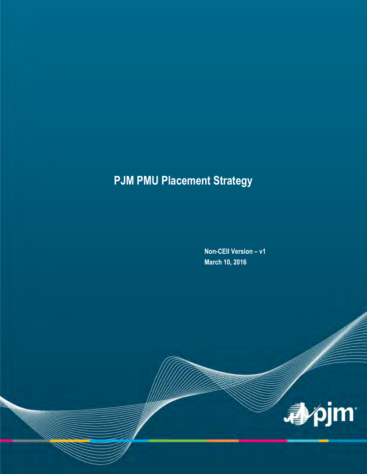# **PJM PMU Placement Strategy**

**Non-CEII Version – v1 March 10, 2016**

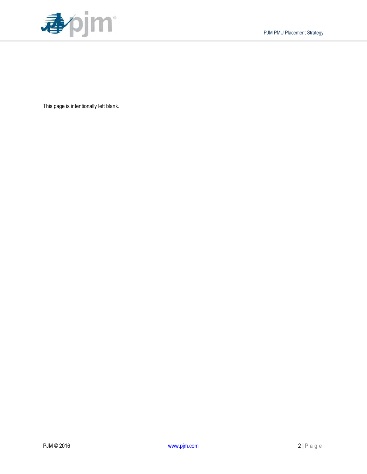

This page is intentionally left blank.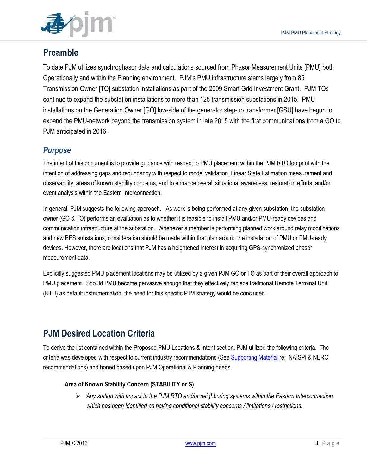

## **Preamble**

To date PJM utilizes synchrophasor data and calculations sourced from Phasor Measurement Units [PMU] both Operationally and within the Planning environment. PJM's PMU infrastructure stems largely from 85 Transmission Owner [TO] substation installations as part of the 2009 Smart Grid Investment Grant. PJM TOs continue to expand the substation installations to more than 125 transmission substations in 2015. PMU installations on the Generation Owner [GO] low-side of the generator step-up transformer [GSU] have begun to expand the PMU-network beyond the transmission system in late 2015 with the first communications from a GO to PJM anticipated in 2016.

### *Purpose*

The intent of this document is to provide guidance with respect to PMU placement within the PJM RTO footprint with the intention of addressing gaps and redundancy with respect to model validation, Linear State Estimation measurement and observability, areas of known stability concerns, and to enhance overall situational awareness, restoration efforts, and/or event analysis within the Eastern Interconnection.

In general, PJM suggests the following approach. As work is being performed at any given substation, the substation owner (GO & TO) performs an evaluation as to whether it is feasible to install PMU and/or PMU-ready devices and communication infrastructure at the substation. Whenever a member is performing planned work around relay modifications and new BES substations, consideration should be made within that plan around the installation of PMU or PMU-ready devices. However, there are locations that PJM has a heightened interest in acquiring GPS-synchronized phasor measurement data.

Explicitly suggested PMU placement locations may be utilized by a given PJM GO or TO as part of their overall approach to PMU placement. Should PMU become pervasive enough that they effectively replace traditional Remote Terminal Unit (RTU) as default instrumentation, the need for this specific PJM strategy would be concluded.

# <span id="page-2-0"></span>**PJM Desired Location Criteria**

To derive the list contained within the Proposed PMU Locations & Intent section, PJM utilized the following criteria. The criteria was developed with respect to current industry recommendations (Se[e Supporting Material](#page-5-0) re: NAISPI & NERC recommendations) and honed based upon PJM Operational & Planning needs.

#### **Area of Known Stability Concern (STABILITY or S)**

 *Any station with impact to the PJM RTO and/or neighboring systems within the Eastern Interconnection, which has been identified as having conditional stability concerns / limitations / restrictions.*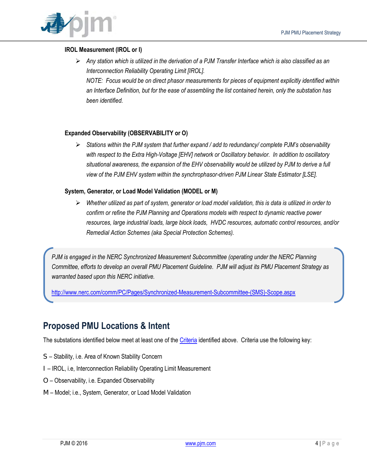

#### **IROL Measurement (IROL or I)**

 *Any station which is utilized in the derivation of a PJM Transfer Interface which is also classified as an Interconnection Reliability Operating Limit [IROL]. NOTE: Focus would be on direct phasor measurements for pieces of equipment explicitly identified within an Interface Definition, but for the ease of assembling the list contained herein, only the substation has been identified.* 

#### **Expanded Observability (OBSERVABILITY or O)**

 *Stations within the PJM system that further expand / add to redundancy/ complete PJM's observability with respect to the Extra High-Voltage [EHV] network or Oscillatory behavior. In addition to oscillatory situational awareness, the expansion of the EHV observability would be utilized by PJM to derive a full view of the PJM EHV system within the synchrophasor-driven PJM Linear State Estimator [LSE].* 

#### **System, Generator, or Load Model Validation (MODEL or M)**

 *Whether utilized as part of system, generator or load model validation, this is data is utilized in order to confirm or refine the PJM Planning and Operations models with respect to dynamic reactive power resources, large industrial loads, large block loads, HVDC resources, automatic control resources, and/or Remedial Action Schemes (aka Special Protection Schemes).* 

*PJM is engaged in the NERC Synchronized Measurement Subcommittee (operating under the NERC Planning Committee, efforts to develop an overall PMU Placement Guideline. PJM will adjust its PMU Placement Strategy as warranted based upon this NERC initiative.*

[http://www.nerc.com/comm/PC/Pages/Synchronized-Measurement-Subcommittee-\(SMS\)-Scope.aspx](http://www.nerc.com/comm/PC/Pages/Synchronized-Measurement-Subcommittee-(SMS)-Scope.aspx)

## **Proposed PMU Locations & Intent**

The substations identified below meet at least one of th[e Criteria](#page-2-0) identified above. Criteria use the following key:

- S Stability, i.e. Area of Known Stability Concern
- I IROL, i.e, Interconnection Reliability Operating Limit Measurement
- O Observability, i.e. Expanded Observability
- M Model; i.e., System, Generator, or Load Model Validation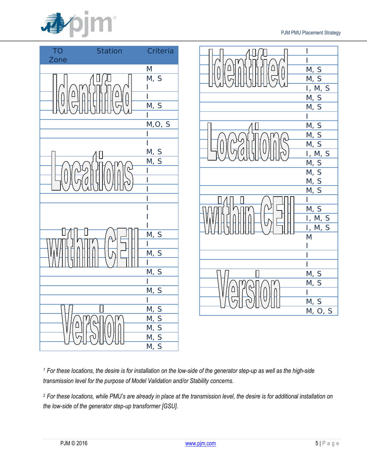

PJM PMU Placement Strategy



*<sup>1</sup>For these locations, the desire is for installation on the low-side of the generator step-up as well as the high-side transmission level for the purpose of Model Validation and/or Stability concerns.* 

*<sup>2</sup>For these locations, while PMU's are already in place at the transmission level, the desire is for additional installation on the low-side of the generator step-up transformer [GSU].*